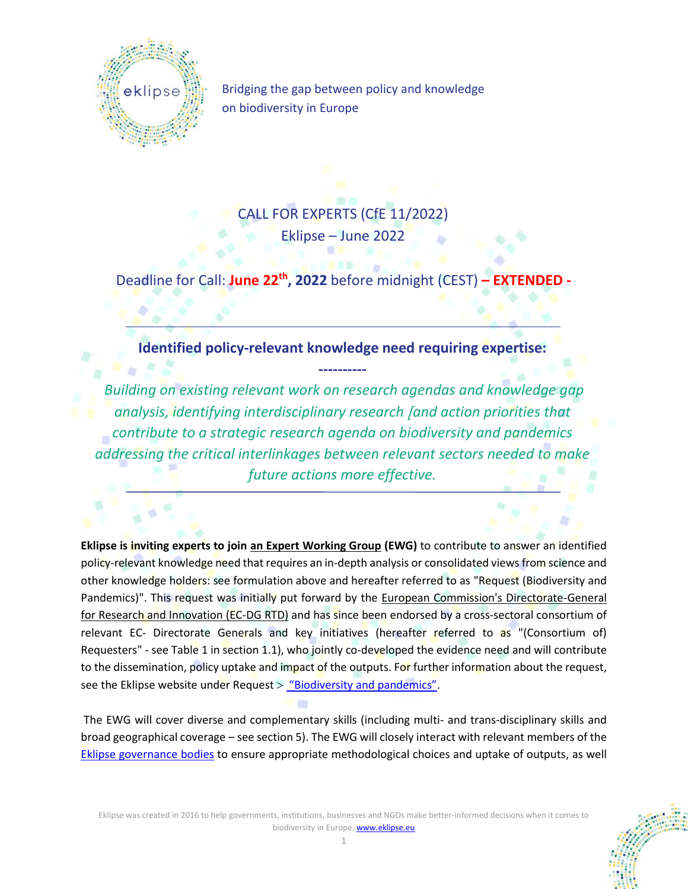

Bridging the gap between policy and knowledge on biodiversity in Europe

CALL FOR EXPERTS (CfE 11/2022) Eklipse – June 2022

**Deadline for Call: June 22<sup>th</sup>, 2022** before midnight (CEST) **-**

**Identified policy-relevant knowledge need requiring expertise:**

**----------**

*Building on existing relevant work on research agendas and knowledge gap analysis, identifying interdisciplinary research and action priorities that contribute to a strategic research agenda on biodiversity and pandemics addressing the critical interlinkages between relevant sectors needed to make future actions more effective.*

**Eklipse is inviting experts to join an Expert Working Group (EWG)** to contribute to answer an identified policy-relevant knowledge need that requires an in-depth analysis or consolidated views from science and other knowledge holders: see formulation above and hereafter referred to as "Request (Biodiversity and Pandemics)". This request was initially put forward by the European Commission's Directorate-General for Research and Innovation (EC-DG RTD) and has since been endorsed by a cross-sectoral consortium of relevant EC- Directorate Generals and key initiatives (hereafter referred to as "(Consortium of) Requesters" - see Table 1 in section 1.1), who jointly co-developed the evidence need and will contribute to the dissemination, policy uptake and impact of the outputs. For further information about the request, see the Eklipse website under Request  $>$  ["Biodiversity and pandemics"](https://eklipse.eu/request-biodiversity-pandemics/).

The EWG will cover diverse and complementary skills (including multi- and trans-disciplinary skills and broad geographical coverage – see section 5). The EWG will closely interact with relevant members of the [Eklipse governance bodies](https://eklipse.eu/team/) to ensure appropriate methodological choices and uptake of outputs, as well

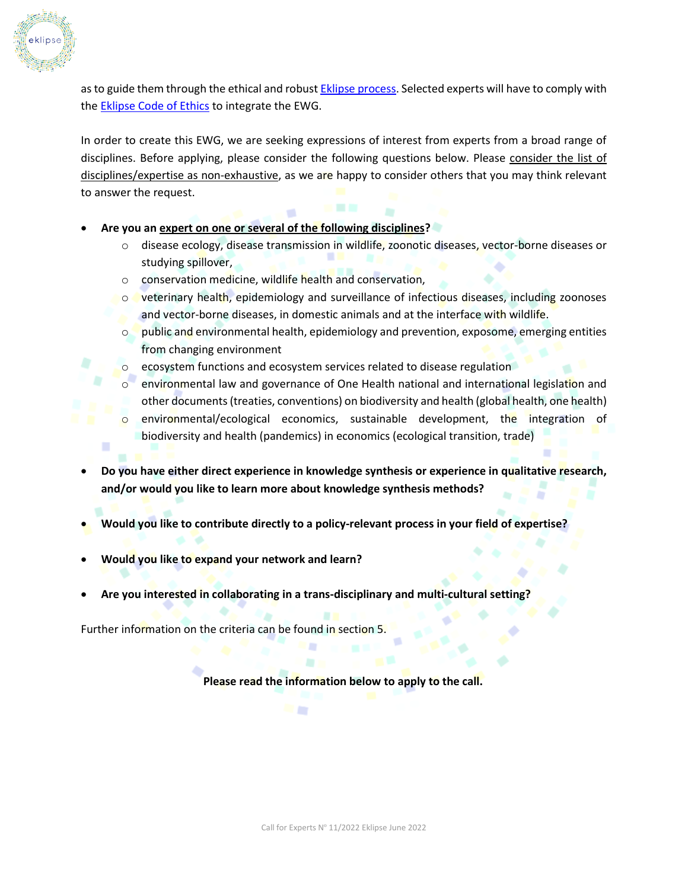

as to guide them through the ethical and robus[t Eklipse process.](https://eklipse.eu/process/) Selected experts will have to comply with the Eklipse [Code of Ethics](https://eklipse.eu/wp-content/uploads/website_db/Ethical_Infrastructure/Eklipse_Code-of-Ethics_final-draft_Website.pdf) to integrate the EWG.

In order to create this EWG, we are seeking expressions of interest from experts from a broad range of disciplines. Before applying, please consider the following questions below. Please consider the list of disciplines/expertise as non-exhaustive, as we are happy to consider others that you may think relevant to answer the request.

- **Are you an expert on one or several of the following disciplines?**
	- o disease ecology, disease transmission in wildlife, zoonotic diseases, vector-borne diseases or studying spillover,
	- o conservation medicine, wildlife health and conservation,
	- $\circ$  veterinary health, epidemiology and surveillance of infectious diseases, including zoonoses and vector-borne diseases, in domestic animals and at the interface with wildlife.
	- $\circ$  public and environmental health, epidemiology and prevention, exposome, emerging entities from changing environment
	- $\circ$  ecosystem functions and ecosystem services related to disease regulation
	- $\circ$  environmental law and governance of One Health national and international legislation and other documents (treaties, conventions) on biodiversity and health (global health, one health)
	- o environmental/ecological economics, sustainable development, the integration of biodiversity and health (pandemics) in economics (ecological transition, trade)
- **Do you have either direct experience in knowledge synthesis or experience in qualitative research, and/or would you like to learn more about knowledge synthesis methods?**
- **Would you like to contribute directly to a policy‐relevant process in your field of expertise?**
- **Would you like to expand your network and learn?**
- **Are you interested in collaborating in a trans‐disciplinary and multi‐cultural setting?**

m

Further information on the criteria can be found in section 5.

**Please read the information below to apply to the call.**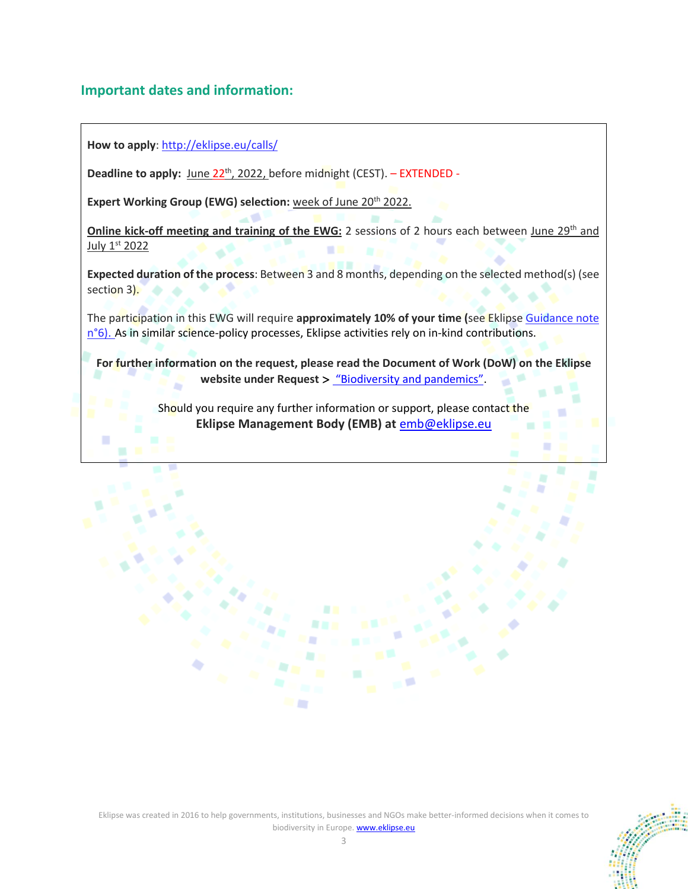## **Important dates and information:**

**How to apply**:<http://eklipse.eu/calls/>

ш

**Deadline to apply:** June 22<sup>th</sup>, 2022, before midnight (CEST). – EXTENDED -

**Expert Working Group (EWG) selection:** week of June 20<sup>th</sup> 2022.

**Online kick-off meeting and training of the EWG:** 2 sessions of 2 hours each between June 29<sup>th</sup> and July 1st 2022

**Expected duration of the process**: Between 3 and 8 months, depending on the selected method(s) (see section 3).

The participation in this EWG will require **approximately 10% of your time (**see Eklipse [Guidance note](https://eklipse.eu/wp-content/uploads/website_db/Guidelines/Gn_6_-Expert-Working-Groups.pdf)  [n°6\)](https://eklipse.eu/wp-content/uploads/website_db/Guidelines/Gn_6_-Expert-Working-Groups.pdf). As in similar science-policy processes, Eklipse activities rely on in-kind contributions.

**For further information on the request, please read the Document of Work (DoW) on the Eklipse**  website under Request > ["Biodiversity and pandemics"](https://eklipse.eu/request-biodiversity-pandemics/).

> Should you require any further information or support, please contact the **Eklipse Management Body (EMB) at** [emb@eklipse.eu](mailto:emb@eklipse.eu)



٠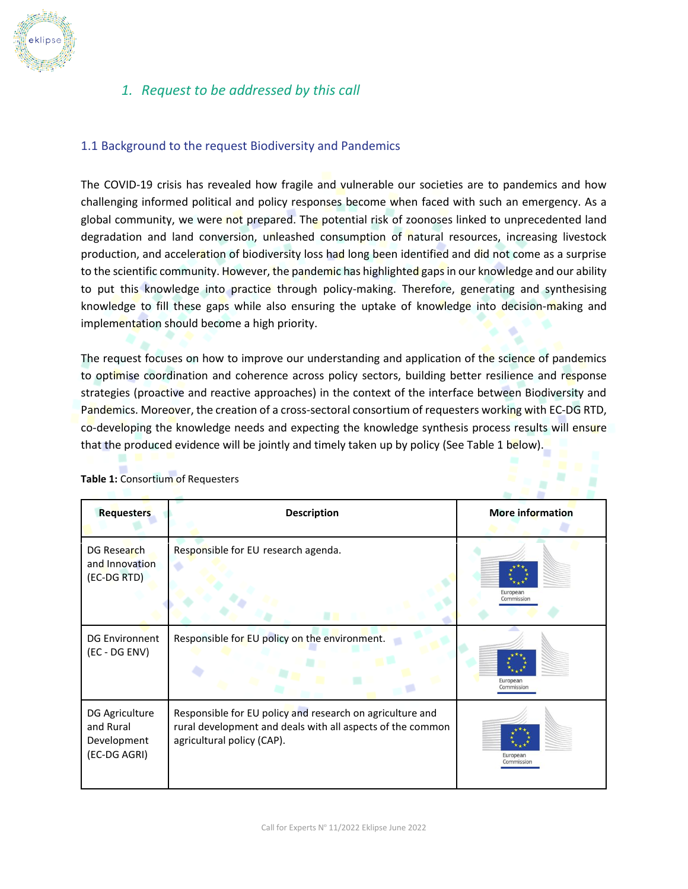

# *1. Request to be addressed by this call*

#### 1.1 Background to the request Biodiversity and Pandemics

The COVID-19 crisis has revealed how fragile and vulnerable our societies are to pandemics and how challenging informed political and policy responses become when faced with such an emergency. As a global community, we were not prepared. The potential risk of zoonoses linked to unprecedented land degradation and land conversion, unleashed consumption of natural resources, increasing livestock production, and acceleration of biodiversity loss had long been identified and did not come as a surprise to the scientific community. However, the pandemic has highlighted gaps in our knowledge and our ability to put this knowledge into practice through policy-making. Therefore, generating and synthesising knowledge to fill these gaps while also ensuring the uptake of knowledge into decision-making and implementation should become a high priority.

The request focuses on how to improve our understanding and application of the science of pandemics to optimise coordination and coherence across policy sectors, building better resilience and response strategies (proactive and reactive approaches) in the context of the interface between Biodiversity and Pandemics. Moreover, the creation of a cross-sectoral consortium of requesters working with EC-DG RTD, co-developing the knowledge needs and expecting the knowledge synthesis process results will ensure that the produced evidence will be jointly and timely taken up by policy (See Table 1 below).

a.

| <b>Requesters</b>                                          | <b>Description</b>                                                                                                                                    | More information       |  |  |  |  |  |  |
|------------------------------------------------------------|-------------------------------------------------------------------------------------------------------------------------------------------------------|------------------------|--|--|--|--|--|--|
| DG Research<br>and Innovation<br>(EC-DG RTD)               | Responsible for EU research agenda.                                                                                                                   | European<br>Commission |  |  |  |  |  |  |
| <b>DG Environnent</b><br>(EC - DG ENV)                     | Responsible for EU policy on the environment.                                                                                                         | European<br>Commission |  |  |  |  |  |  |
| DG Agriculture<br>and Rural<br>Development<br>(EC-DG AGRI) | Responsible for EU policy and research on agriculture and<br>rural development and deals with all aspects of the common<br>agricultural policy (CAP). | European<br>Commissior |  |  |  |  |  |  |

#### **Table 1:** Consortium of Requesters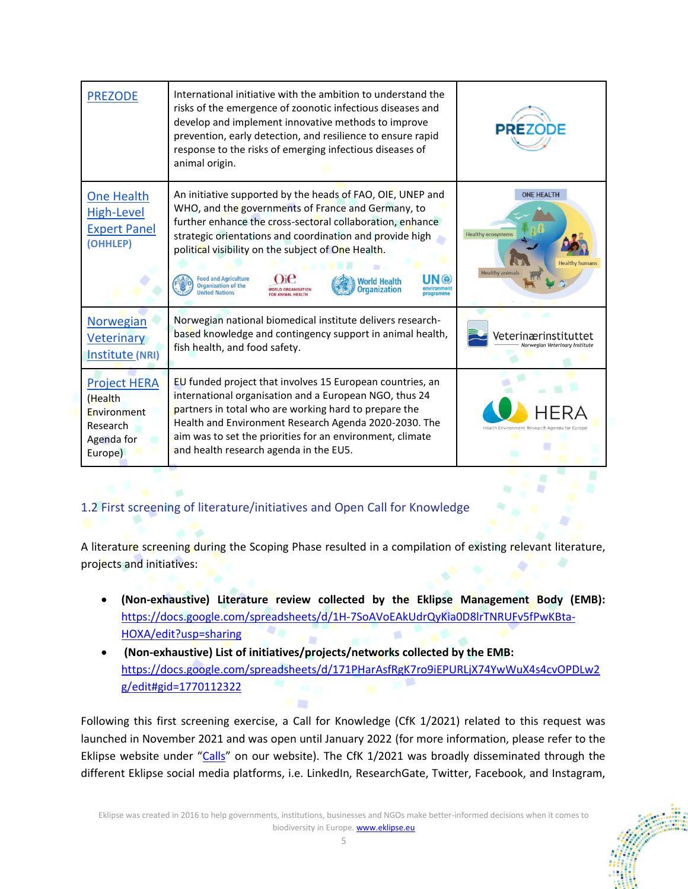| <b>PREZODE</b>                                                                     | International initiative with the ambition to understand the<br>risks of the emergence of zoonotic infectious diseases and<br>develop and implement innovative methods to improve<br>prevention, early detection, and resilience to ensure rapid<br>response to the risks of emerging infectious diseases of<br>animal origin.                                                                                                                            |                                                                          |
|------------------------------------------------------------------------------------|-----------------------------------------------------------------------------------------------------------------------------------------------------------------------------------------------------------------------------------------------------------------------------------------------------------------------------------------------------------------------------------------------------------------------------------------------------------|--------------------------------------------------------------------------|
| One Health<br><b>High-Level</b><br><b>Expert Panel</b><br>(OHHLEP)                 | An initiative supported by the heads of FAO, OIE, UNEP and<br>WHO, and the governments of France and Germany, to<br>further enhance the cross-sectoral collaboration, enhance<br>strategic orientations and coordination and provide high<br>political visibility on the subject of One Health.<br><b>Food and Agriculture</b><br>Norld Health<br><b>Organization of the</b><br><b>Organization</b><br><b>VORLD ORGANISATION</b><br><b>United Nations</b> | <b>ONE HEALTH</b><br><b>Healthy ecosystems</b><br><b>Healthy animals</b> |
| Norwegian<br><b>Veterinary</b><br>Institute (NRI)                                  | Norwegian national biomedical institute delivers research-<br>based knowledge and contingency support in animal health,<br>fish health, and food safety.                                                                                                                                                                                                                                                                                                  | Veterinærinstituttet<br>Norwegian Veterinary Institute                   |
| <b>Project HERA</b><br>(Health<br>Environment<br>Research<br>Agenda for<br>Europe) | EU funded project that involves 15 European countries, an<br>international organisation and a European NGO, thus 24<br>partners in total who are working hard to prepare the<br>Health and Environment Research Agenda 2020-2030. The<br>aim was to set the priorities for an environment, climate<br>and health research agenda in the EU5.                                                                                                              | lealth Environment Research Agenda for Europe                            |

## 1.2 First screening of literature/initiatives and Open Call for Knowledge

A literature screening during the Scoping Phase resulted in a compilation of existing relevant literature, projects and initiatives:

- **(Non-exhaustive) Literature review collected by the Eklipse Management Body (EMB):** [https://docs.google.com/spreadsheets/d/1H-7SoAVoEAkUdrQyKia0D8lrTNRUFv5fPwKBta-](https://docs.google.com/spreadsheets/d/1H-7SoAVoEAkUdrQyKia0D8lrTNRUFv5fPwKBta-HOXA/edit?usp=sharing)**\*\*** [HOXA/edit?usp=sharing](https://docs.google.com/spreadsheets/d/1H-7SoAVoEAkUdrQyKia0D8lrTNRUFv5fPwKBta-HOXA/edit?usp=sharing) W.
- **(Non-exhaustive) List of initiatives/projects/networks collected by the EMB:** [https://docs.google.com/spreadsheets/d/171PHarAsfRgK7ro9iEPURLjX74YwWuX4s4cvOPDLw2](https://docs.google.com/spreadsheets/d/171PHarAsfRgK7ro9iEPURLjX74YwWuX4s4cvOPDLw2g/edit#gid=1770112322) - 1 [g/edit#gid=1770112322](https://docs.google.com/spreadsheets/d/171PHarAsfRgK7ro9iEPURLjX74YwWuX4s4cvOPDLw2g/edit#gid=1770112322)

Following this first screening exercise, a Call for Knowledge (CfK 1/2021) related to this request was launched in November 2021 and was open until January 2022 (for more information, please refer to the Eklipse website under "[Calls](https://eklipse.eu/calls/)" on our website). The CfK 1/2021 was broadly disseminated through the different Eklipse social media platforms, i.e. LinkedIn, ResearchGate, Twitter, Facebook, and Instagram,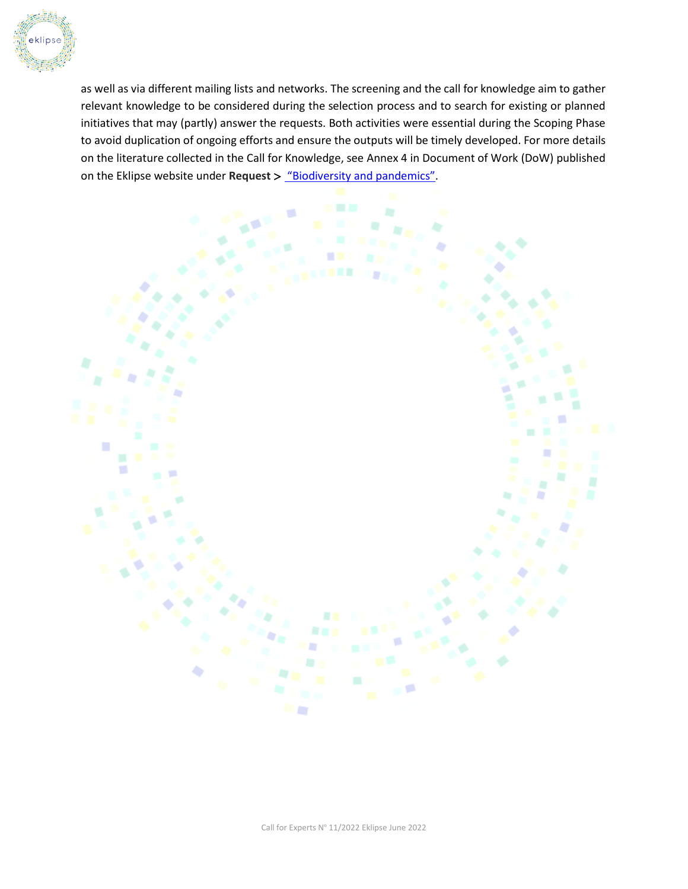

as well as via different mailing lists and networks. The screening and the call for knowledge aim to gather relevant knowledge to be considered during the selection process and to search for existing or planned initiatives that may (partly) answer the requests. Both activities were essential during the Scoping Phase to avoid duplication of ongoing efforts and ensure the outputs will be timely developed. For more details on the literature collected in the Call for Knowledge, see Annex 4 in Document of Work (DoW) published on the Eklipse website under **Request** > ["Biodiversity and pandemics"](https://eklipse.eu/request-biodiversity-pandemics/).

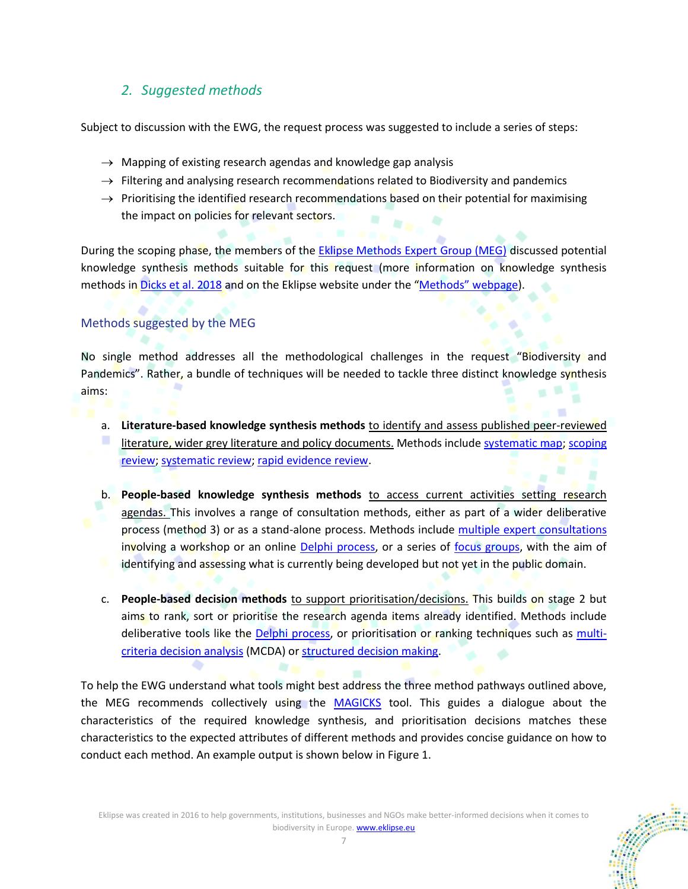# *2. Suggested methods*

Subject to discussion with the EWG, the request process was suggested to include a series of steps:

- $\rightarrow$  Mapping of existing research agendas and knowledge gap analysis
- $\rightarrow$  Filtering and analysing research recommendations related to Biodiversity and pandemics
- $\rightarrow$  Prioritising the identified research recommendations based on their potential for maximising the impact on policies for relevant sectors.

During the scoping phase, the members of the [Eklipse Methods Expert Group \(MEG\)](https://eklipse.eu/team/#methods-expert-group) discussed potential knowledge synthesis methods suitable for this request (more information on knowledge synthesis methods in [Dicks et al. 2018](https://eklipse.eu/wp-content/uploads/2020/10/EKLIPSE_D3-1_On-lineReport_NewInset4Print_012019_HL3.pdf) and on the Eklipse website under the "Methods" [webpage\)](https://eklipse.eu/methods/).

## Methods suggested by the MEG

No single method addresses all the methodological challenges in the request "Biodiversity and Pandemics". Rather, a bundle of techniques will be needed to tackle three distinct knowledge synthesis aims:

- a. **Literature-based knowledge synthesis methods** to identify and assess published peer-reviewed literature, wider grey literature and policy documents. Methods includ[e systematic map;](https://eklipse.eu/wp-content/uploads/website_db/Methods/Method19_Systematic_map-1.pdf) scoping [review;](https://eklipse.eu/wp-content/uploads/website_db/Methods/Method15_Scoping_review.pdf) [systematic review;](https://eklipse.eu/wp-content/uploads/website_db/Methods/Method20_Systematic_review.pdf) [rapid evidence review.](https://eklipse.eu/wp-content/uploads/website_db/Methods/Method13_Rapid_evidence_assessment.pdf)
- b. **People-based knowledge synthesis methods** to access current activities setting research agendas. This involves a range of consultation methods, either as part of a wider deliberative process (method 3) or as a stand-alone process. Methods include [multiple expert consultations](https://eklipse.eu/wp-content/uploads/website_db/Methods/Method10_Multiple_expert_consultation_with_Delphi.pdf) involving a workshop or an online [Delphi process,](https://eklipse.eu/wp-content/uploads/website_db/Methods/Method10_Multiple_expert_consultation_with_Delphi.pdf) or a series of [focus groups,](https://eklipse.eu/wp-content/uploads/website_db/Methods/Method6_Focus_groups.pdf) with the aim of identifying and assessing what is currently being developed but not yet in the public domain.
- c. **People-based decision methods** to support prioritisation/decisions. This builds on stage 2 but aims to rank, sort or prioritise the research agenda items already identified. Methods include deliberative tools like the [Delphi process,](https://eklipse.eu/wp-content/uploads/website_db/Methods/Method10_Multiple_expert_consultation_with_Delphi.pdf) or prioritisation or ranking techniques such as [multi](https://eklipse.eu/wp-content/uploads/website_db/Methods/Method9_Multi-Criteria_Decision_Analysis.pdf)[criteria decision analysis](https://eklipse.eu/wp-content/uploads/website_db/Methods/Method9_Multi-Criteria_Decision_Analysis.pdf) (MCDA) o[r structured decision making.](https://eklipse.eu/wp-content/uploads/website_db/Methods/Method17_Structured-Decision-Making.pdf)

To help the EWG understand what tools might best address the three method pathways outlined above, the MEG recommends collectively using the [MAGICKS](https://ksm-eklipse.shinyapps.io/MAGICKS/) tool. This guides a dialogue about the characteristics of the required knowledge synthesis, and prioritisation decisions matches these characteristics to the expected attributes of different methods and provides concise guidance on how to conduct each method. An example output is shown below in Figure 1.

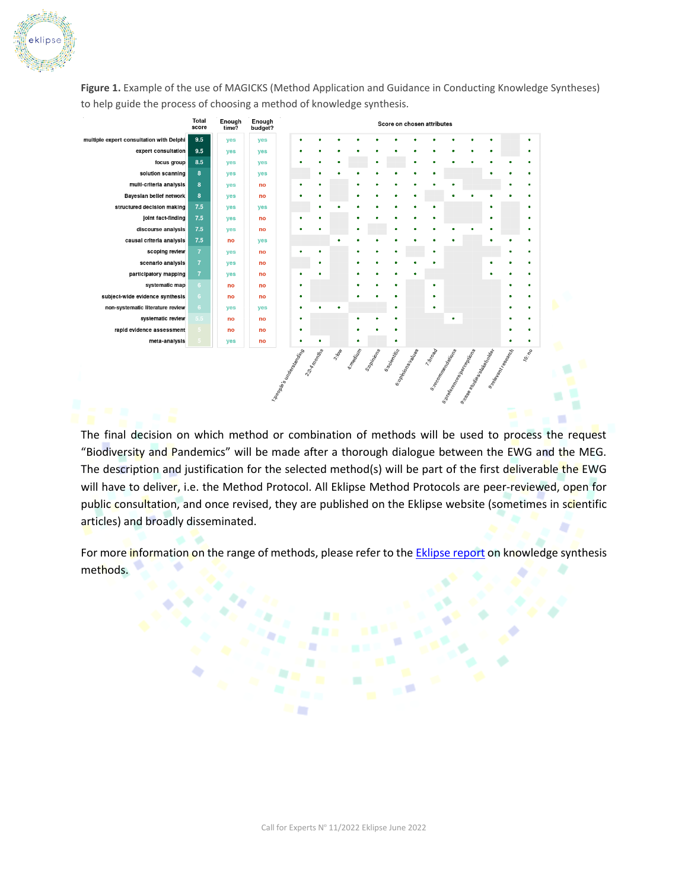

**Figure 1.** Example of the use of MAGICKS (Method Application and Guidance in Conducting Knowledge Syntheses) to help guide the process of choosing a method of knowledge synthesis.

|                                          | Total<br>score  | Enough<br>time? | Enough<br>budget? |                          |             |              |   |                  | Score on chosen attributes |                   |                     |                                                                        |                               |   |                                             |       |
|------------------------------------------|-----------------|-----------------|-------------------|--------------------------|-------------|--------------|---|------------------|----------------------------|-------------------|---------------------|------------------------------------------------------------------------|-------------------------------|---|---------------------------------------------|-------|
| multiple expert consultation with Delphi | 9.5             | yes             | yes               |                          |             |              |   |                  |                            |                   |                     | ٠                                                                      | ń                             | ċ |                                             |       |
| expert consultation                      | 9.5             | yes             | yes               |                          |             |              |   |                  |                            |                   |                     |                                                                        |                               | ٠ |                                             |       |
| focus group                              | 8.5             | <b>ves</b>      | <b>ves</b>        |                          |             |              |   |                  |                            |                   |                     |                                                                        |                               |   |                                             |       |
| solution scanning                        | 8               | yes             | <b>ves</b>        |                          |             |              |   |                  |                            |                   |                     |                                                                        |                               |   |                                             |       |
| multi-criteria analysis                  | 8               | yes             | no                |                          |             |              |   |                  |                            |                   |                     |                                                                        |                               |   |                                             | ٠     |
| Bayesian belief network                  | 8               | yes             | no                |                          |             |              |   |                  |                            |                   |                     |                                                                        |                               | ٥ |                                             |       |
| structured decision making               | 7.5             | yes             | yes               |                          |             |              |   | ٠                |                            |                   |                     |                                                                        |                               | ٠ |                                             | ۵     |
| joint fact-finding                       | 7.5             | yes             | no                |                          |             |              |   |                  |                            |                   |                     |                                                                        |                               | ٠ |                                             | ٠     |
| discourse analysis                       | 7.5             | yes             | no                |                          |             |              |   |                  |                            |                   |                     |                                                                        |                               | ٠ |                                             | ٠     |
| causal criteria analysis                 | 7.5             | no              | yes               |                          |             |              |   |                  |                            |                   |                     |                                                                        |                               | ٠ |                                             |       |
| scoping review                           | $\overline{7}$  | yes             | no                |                          | ٠           |              |   |                  |                            |                   | ٠                   |                                                                        |                               |   |                                             |       |
| scenario analysis                        | $\overline{7}$  | yes             | no                |                          |             |              |   | ٠                |                            |                   |                     |                                                                        |                               |   |                                             | ٠     |
| participatory mapping                    | $\overline{7}$  | yes             | no                | ć                        |             |              | c | ٠                |                            |                   |                     |                                                                        |                               |   |                                             | ٠     |
| systematic map                           | $6\phantom{.}6$ | no              | no                | ٠                        |             |              |   | ٠                |                            |                   | ٠                   |                                                                        |                               |   | ٠                                           | ٠     |
| subject-wide evidence synthesis          | $6\phantom{.}6$ | no              | no                | ٠                        |             |              | ٥ |                  |                            |                   | ٠                   |                                                                        |                               |   | ٠                                           | ٠     |
| non-systematic literature review         | 6               | yes             | yes               |                          |             |              |   |                  | ٠                          |                   | ٥                   |                                                                        |                               |   |                                             |       |
| systematic review                        | 5.5             | no              | no                |                          |             |              | r |                  |                            |                   |                     | ٠                                                                      |                               |   |                                             | ٠     |
| rapid evidence assessment                | 5.              | no              | no                | ٠                        |             |              |   |                  |                            |                   |                     |                                                                        |                               |   |                                             | ٠     |
| meta-analysis                            |                 | yes             | no                | ٠                        |             |              |   |                  | ٠                          |                   |                     |                                                                        |                               |   | ٠                                           | ٠     |
|                                          |                 |                 |                   | 1 xeopte's understanding | 2:24 months | <b>3:60%</b> |   | st magical Miles |                            | 6:00milionalistes | 7.60 <sub>000</sub> | 8:180 mm Rations<br>e-professor<br>Professor de professor<br>Professor | a-ca <sub>lla de Marie-</sub> |   | sistem Melaysis<br>$\overline{\phantom{a}}$ | 10.10 |

The final decision on which method or combination of methods will be used to process the request "Biodiversity and Pandemics" will be made after a thorough dialogue between the EWG and the MEG. The description and justification for the selected method(s) will be part of the first deliverable the EWG will have to deliver, i.e. the Method Protocol. All Eklipse Method Protocols are peer-reviewed, open for public consultation, and once revised, they are published on the Eklipse website (sometimes in scientific articles) and broadly disseminated.

m

For more information on the range of methods, please refer to the **Eklipse report** on knowledge synthesis methods.

٠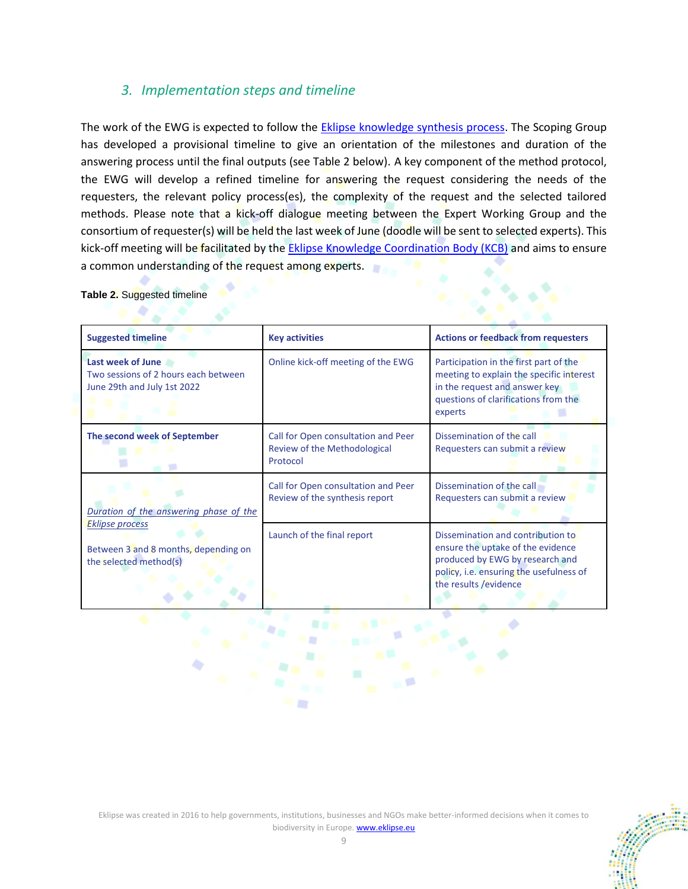# *3. Implementation steps and timeline*

The work of the EWG is expected to follow the [Eklipse knowledge synthesis process.](https://eklipse.eu/process/) The Scoping Group has developed a provisional timeline to give an orientation of the milestones and duration of the answering process until the final outputs (see Table 2 below). A key component of the method protocol, the EWG will develop a refined timeline for answering the request considering the needs of the requesters, the relevant policy process(es), the complexity of the request and the selected tailored methods. Please note that a kick-off dialogue meeting between the Expert Working Group and the consortium of requester(s) will be held the last week of June (doodle will be sent to selected experts). This kick-off meeting will be facilitated by th[e Eklipse Knowledge Coordination Body \(KCB\)](https://eklipse.eu/team/#knowledge-coordination-body) and aims to ensure a common understanding of the request among experts.

| <b>Suggested timeline</b>                                                                | <b>Key activities</b>                                                           | <b>Actions or feedback from requesters</b>                                                                                                                                     |  |  |  |  |
|------------------------------------------------------------------------------------------|---------------------------------------------------------------------------------|--------------------------------------------------------------------------------------------------------------------------------------------------------------------------------|--|--|--|--|
| Last week of June<br>Two sessions of 2 hours each between<br>June 29th and July 1st 2022 | Online kick-off meeting of the EWG                                              | Participation in the first part of the<br>meeting to explain the specific interest<br>in the request and answer key<br>questions of clarifications from the<br>experts         |  |  |  |  |
| The second week of September                                                             | Call for Open consultation and Peer<br>Review of the Methodological<br>Protocol | Dissemination of the call<br>Requesters can submit a review                                                                                                                    |  |  |  |  |
| Duration of the answering phase of the                                                   | Call for Open consultation and Peer<br>Review of the synthesis report           | Dissemination of the call<br>Requesters can submit a review                                                                                                                    |  |  |  |  |
| <b>Eklipse process</b><br>Between 3 and 8 months, depending on<br>the selected method(s) | Launch of the final report                                                      | Dissemination and contribution to<br>ensure the uptake of the evidence<br>produced by EWG by research and<br>policy, i.e. ensuring the usefulness of<br>the results / evidence |  |  |  |  |

**Table 2.** Suggested timeline ۰



Eklipse was created in 2016 to help governments, institutions, businesses and NGOs make better-informed decisions when it comes to biodiversity in Europe. **www.eklipse.eu**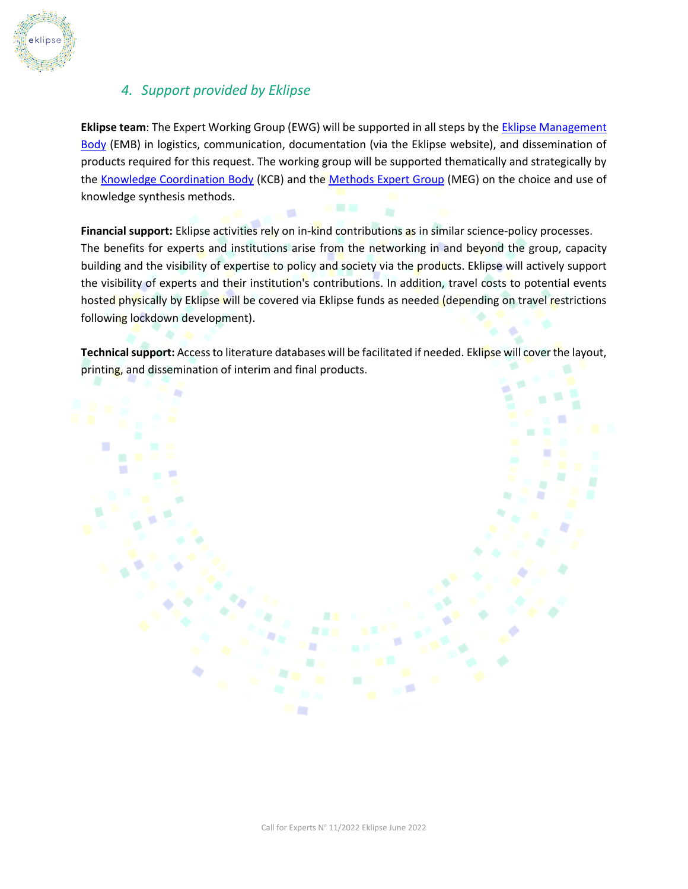

# *4. Support provided by Eklipse*

**Eklipse team**: The Expert Working Group (EWG) will be supported in all steps by th[e Eklipse Management](https://eklipse.eu/team/#eklipse-management-body)  [Body](https://eklipse.eu/team/#eklipse-management-body) (EMB) in logistics, communication, documentation (via the Eklipse website), and dissemination of products required for this request. The working group will be supported thematically and strategically by th[e Knowledge Coordination Body](https://eklipse.eu/team/#knowledge-coordination-bodyhttps://eklipse.eu/team/) (KCB) and the [Methods Expert Group](https://eklipse.eu/team/#methods-expert-group) (MEG) on the choice and use of knowledge synthesis methods.

**Financial support:** Eklipse activities rely on in-kind contributions as in similar science-policy processes. The benefits for experts and institutions arise from the networking in and beyond the group, capacity building and the visibility of expertise to policy and society via the products. Eklipse will actively support the visibility of experts and their institution's contributions. In addition, travel costs to potential events hosted physically by Eklipse will be covered via Eklipse funds as needed (depending on travel restrictions following lockdown development).

**Technical support:** Access to literature databases will be facilitated if needed. Eklipse will cover the layout, printing, and dissemination of interim and final products.

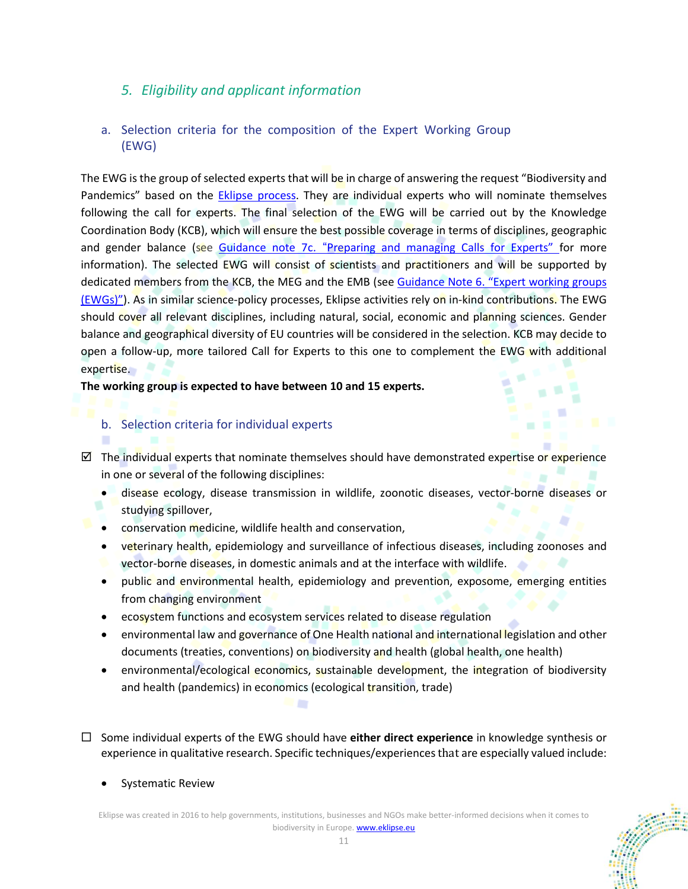# *5. Eligibility and applicant information*

## a. Selection criteria for the composition of the Expert Working Group (EWG)

The EWG is the group of selected experts that will be in charge of answering the request "Biodiversity and Pandemics" based on the **Eklipse process**. They are individual experts who will nominate themselves following the call for experts. The final selection of the EWG will be carried out by the Knowledge Coordination Body (KCB), which will ensure the best possible coverage in terms of disciplines, geographic and gender balance (see Guidance note 7c. "[Preparing and managing Calls for Experts"](https://eklipse.eu/wp-content/uploads/website_db/Guidelines/Gn_7c_Preparing-and-managing-call-for-experts.pdf) for more information). The selected EWG will consist of scientists and practitioners and will be supported by dedicated members from the KCB, the MEG and the EMB (see Guidance Note 6. "Expert working groups [\(EWGs\)"](https://eklipse.eu/wp-content/uploads/website_db/Guidelines/Gn_6_-Expert-Working-Groups.pdf)). As in similar science-policy processes, Eklipse activities rely on in-kind contributions. The EWG should cover all relevant disciplines, including natural, social, economic and planning sciences. Gender balance and geographical diversity of EU countries will be considered in the selection. KCB may decide to open a follow-up, more tailored Call for Experts to this one to complement the EWG with additional expertise.

#### **The working group is expected to have between 10 and 15 experts.**

### b. Selection criteria for individual experts

٠

- $\boxtimes$  The individual experts that nominate themselves should have demonstrated expertise or experience in one or several of the following disciplines:
	- disease ecology, disease transmission in wildlife, zoonotic diseases, vector-borne diseases or studying spillover,
	- conservation medicine, wildlife health and conservation,
	- veterinary health, epidemiology and surveillance of infectious diseases, including zoonoses and
	- vector-borne diseases, in domestic animals and at the interface with wildlife.
	- public and environmental health, epidemiology and prevention, exposome, emerging entities from changing environment
	- ecosystem functions and ecosystem services related to disease regulation

- environmental law and governance of One Health national and international legislation and other documents (treaties, conventions) on biodiversity and health (global health, one health)
- environmental/ecological economics, sustainable development, the integration of biodiversity and health (pandemics) in economics (ecological transition, trade)
- $\Box$  Some individual experts of the EWG should have **either direct experience** in knowledge synthesis or experience in qualitative research. Specific techniques/experiences that are especially valued include:
	- Systematic Review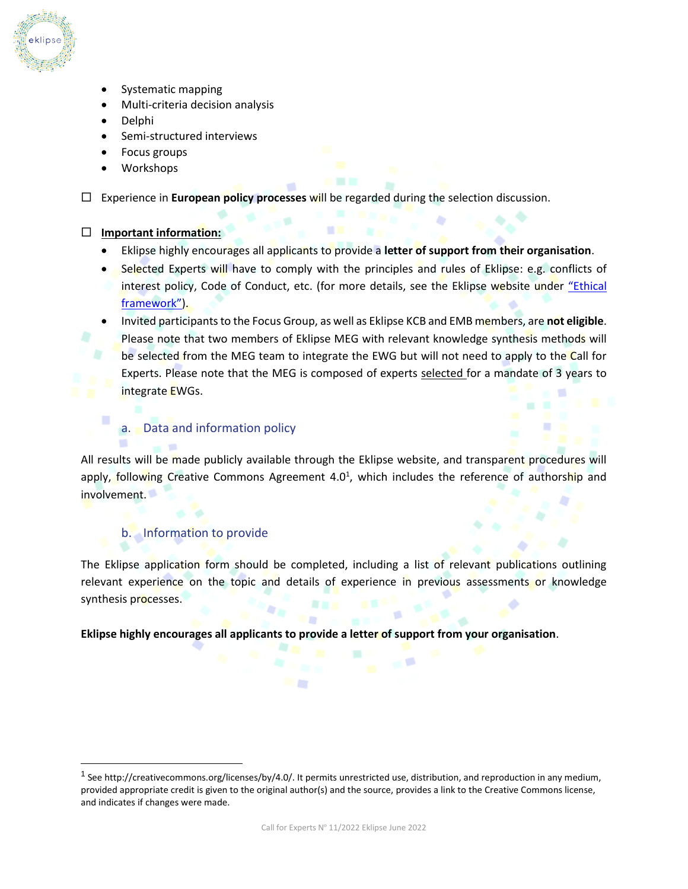

- Systematic mapping
- Multi-criteria decision analysis
- Delphi
- Semi-structured interviews
- Focus groups
- Workshops

Experience in **European policy processes** will be regarded during the selection discussion.

#### **Important information:**

- Eklipse highly encourages all applicants to provide a **letter of support from their organisation**.
- Selected Experts will have to comply with the principles and rules of Eklipse: e.g. conflicts of interest policy, Code of Conduct, etc. (for more details, see the Eklipse website under "E[thical](https://eklipse.eu/ethical-framework/)  [framework](https://eklipse.eu/ethical-framework/)").
- Invited participants to the Focus Group, as well as Eklipse KCB and EMB members, are **not eligible**. Please note that two members of Eklipse MEG with relevant knowledge synthesis methods will be selected from the MEG team to integrate the EWG but will not need to apply to the Call for Experts. Please note that the MEG is composed of experts selected for a mandate of 3 years to integrate EWGs.

### a. Data and information policy

All results will be made publicly available through the Eklipse website, and transparent procedures will apply, following Creative Commons Agreement 4.0<sup>1</sup>, which includes the reference of authorship and involvement.

#### b. Information to provide

The Eklipse application form should be completed, including a list of relevant publications outlining relevant experience on the topic and details of experience in previous assessments or knowledge synthesis processes.

**Eklipse highly encourages all applicants to provide a letter of support from your organisation**.

<sup>&</sup>lt;sup>1</sup> See http://creativecommons.org/licenses/by/4.0/. It permits unrestricted use, distribution, and reproduction in any medium, provided appropriate credit is given to the original author(s) and the source, provides a link to the Creative Commons license, and indicates if changes were made.